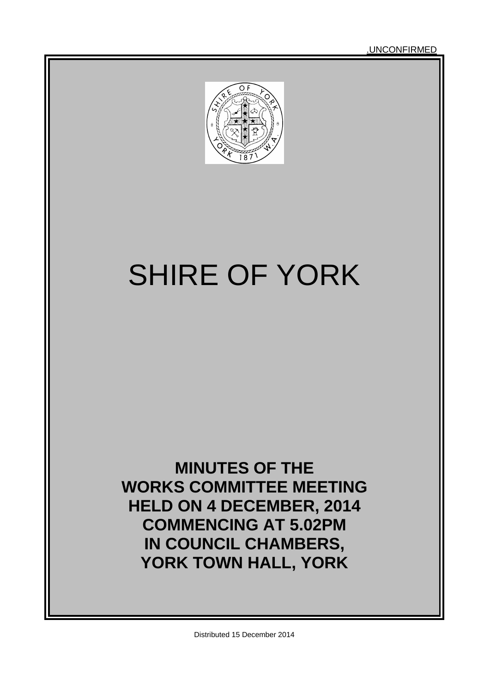.UNCONFIRMED



# SHIRE OF YORK

## **MINUTES OF THE WORKS COMMITTEE MEETING HELD ON 4 DECEMBER, 2014 COMMENCING AT 5.02PM IN COUNCIL CHAMBERS, YORK TOWN HALL, YORK**

Distributed 15 December 2014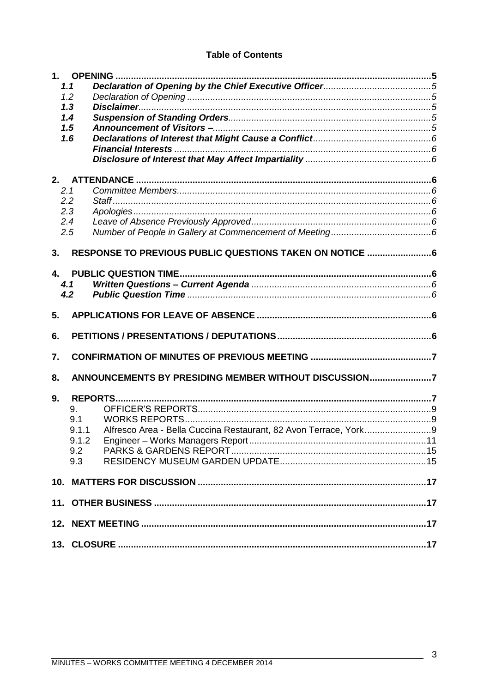#### **Table of Contents**

|     | 1.1                                                      |  |  |  |
|-----|----------------------------------------------------------|--|--|--|
|     | 1.2                                                      |  |  |  |
|     | 1.3                                                      |  |  |  |
|     | 1.4                                                      |  |  |  |
|     | 1.5                                                      |  |  |  |
|     | 1.6                                                      |  |  |  |
|     |                                                          |  |  |  |
|     |                                                          |  |  |  |
| 2.  |                                                          |  |  |  |
| 2.1 |                                                          |  |  |  |
| 2.2 |                                                          |  |  |  |
|     | 2.3                                                      |  |  |  |
|     | 2.4                                                      |  |  |  |
|     | 2.5                                                      |  |  |  |
|     |                                                          |  |  |  |
| 3.  | RESPONSE TO PREVIOUS PUBLIC QUESTIONS TAKEN ON NOTICE  6 |  |  |  |
|     |                                                          |  |  |  |
| 4.  |                                                          |  |  |  |
|     | 4.1                                                      |  |  |  |
|     | 4.2                                                      |  |  |  |
|     |                                                          |  |  |  |
| 5.  |                                                          |  |  |  |
| 6.  |                                                          |  |  |  |
|     |                                                          |  |  |  |
| 7.  |                                                          |  |  |  |
| 8.  | ANNOUNCEMENTS BY PRESIDING MEMBER WITHOUT DISCUSSION7    |  |  |  |
|     |                                                          |  |  |  |
| 9.  |                                                          |  |  |  |
|     | 9.                                                       |  |  |  |
|     | 9.1                                                      |  |  |  |
|     | 9.1.1                                                    |  |  |  |
|     |                                                          |  |  |  |
|     | 9.2                                                      |  |  |  |
|     | 9.3                                                      |  |  |  |
|     |                                                          |  |  |  |
|     |                                                          |  |  |  |
|     |                                                          |  |  |  |
|     |                                                          |  |  |  |
|     |                                                          |  |  |  |

 $\mathbb{R}^2$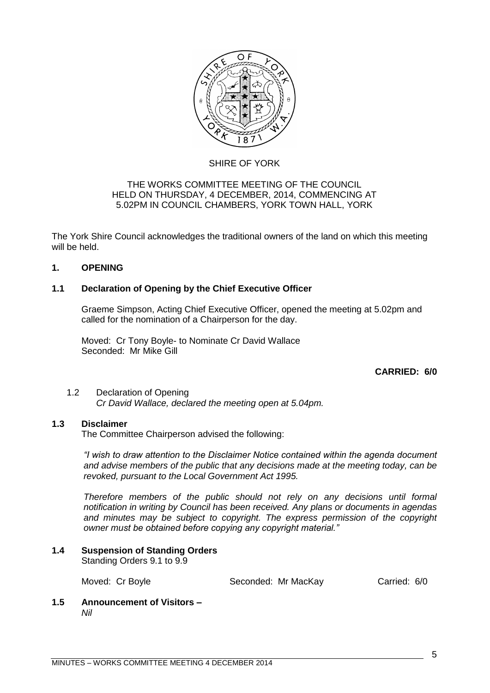

#### SHIRE OF YORK

#### THE WORKS COMMITTEE MEETING OF THE COUNCIL HELD ON THURSDAY, 4 DECEMBER, 2014, COMMENCING AT 5.02PM IN COUNCIL CHAMBERS, YORK TOWN HALL, YORK

The York Shire Council acknowledges the traditional owners of the land on which this meeting will be held.

#### <span id="page-4-0"></span>**1. OPENING**

#### <span id="page-4-1"></span>**1.1 Declaration of Opening by the Chief Executive Officer**

Graeme Simpson, Acting Chief Executive Officer, opened the meeting at 5.02pm and called for the nomination of a Chairperson for the day.

Moved: Cr Tony Boyle- to Nominate Cr David Wallace Seconded: Mr Mike Gill

#### **CARRIED: 6/0**

#### <span id="page-4-2"></span>1.2 Declaration of Opening *Cr David Wallace, declared the meeting open at 5.04pm.*

#### <span id="page-4-3"></span>**1.3 Disclaimer**

The Committee Chairperson advised the following:

*"I wish to draw attention to the Disclaimer Notice contained within the agenda document and advise members of the public that any decisions made at the meeting today, can be revoked, pursuant to the Local Government Act 1995.* 

*Therefore members of the public should not rely on any decisions until formal notification in writing by Council has been received. Any plans or documents in agendas and minutes may be subject to copyright. The express permission of the copyright owner must be obtained before copying any copyright material."*

#### <span id="page-4-4"></span>**1.4 Suspension of Standing Orders**

Standing Orders 9.1 to 9.9

Moved: Cr Boyle **Seconded: Mr MacKay** Carried: 6/0

<span id="page-4-5"></span>**1.5 Announcement of Visitors –** *Nil*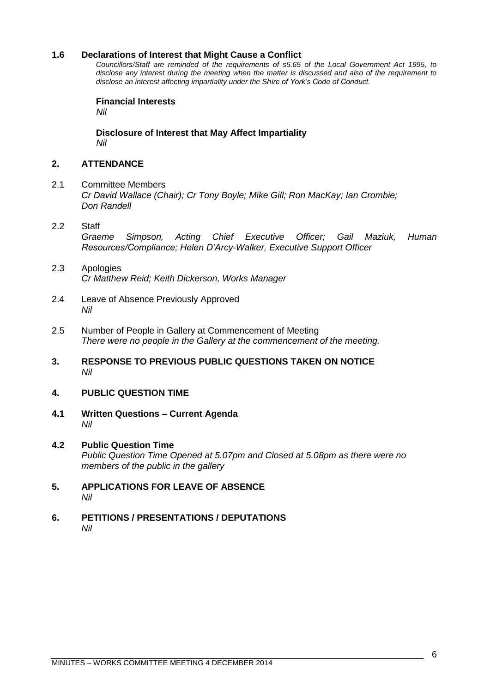#### <span id="page-5-0"></span>**1.6 Declarations of Interest that Might Cause a Conflict**

*Councillors/Staff are reminded of the requirements of s5.65 of the Local Government Act 1995, to disclose any interest during the meeting when the matter is discussed and also of the requirement to disclose an interest affecting impartiality under the Shire of York's Code of Conduct.*

<span id="page-5-1"></span>**Financial Interests** *Nil*

**Disclosure of Interest that May Affect Impartiality** *Nil*

#### <span id="page-5-3"></span><span id="page-5-2"></span>**2. ATTENDANCE**

- <span id="page-5-4"></span>2.1 Committee Members *Cr David Wallace (Chair); Cr Tony Boyle; Mike Gill; Ron MacKay; Ian Crombie; Don Randell*
- <span id="page-5-5"></span>2.2 Staff *Graeme Simpson, Acting Chief Executive Officer; Gail Maziuk, Human Resources/Compliance; Helen D'Arcy-Walker, Executive Support Officer*
- <span id="page-5-6"></span>2.3 Apologies *Cr Matthew Reid; Keith Dickerson, Works Manager*
- <span id="page-5-7"></span>2.4 Leave of Absence Previously Approved *Nil*
- <span id="page-5-8"></span>2.5 Number of People in Gallery at Commencement of Meeting *There were no people in the Gallery at the commencement of the meeting.*
- <span id="page-5-9"></span>**3. RESPONSE TO PREVIOUS PUBLIC QUESTIONS TAKEN ON NOTICE** *Nil*

#### <span id="page-5-10"></span>**4. PUBLIC QUESTION TIME**

- <span id="page-5-11"></span>**4.1 Written Questions – Current Agenda** *Nil*
- <span id="page-5-12"></span>**4.2 Public Question Time** *Public Question Time Opened at 5.07pm and Closed at 5.08pm as there were no members of the public in the gallery*
- <span id="page-5-13"></span>**5. APPLICATIONS FOR LEAVE OF ABSENCE**  *Nil*
- <span id="page-5-14"></span>**6. PETITIONS / PRESENTATIONS / DEPUTATIONS** *Nil*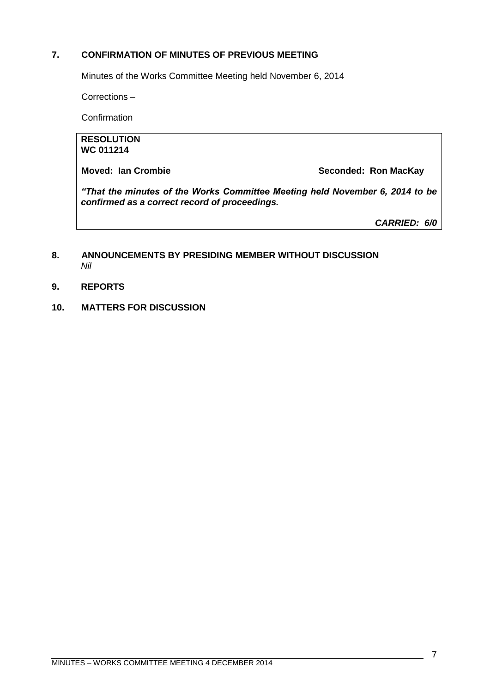#### <span id="page-6-0"></span>**7. CONFIRMATION OF MINUTES OF PREVIOUS MEETING**

Minutes of the Works Committee Meeting held November 6, 2014

Corrections –

**Confirmation** 

#### **RESOLUTION WC 011214**

**Moved: Ian Crombie Seconded: Ron MacKay** 

*"That the minutes of the Works Committee Meeting held November 6, 2014 to be confirmed as a correct record of proceedings.*

*CARRIED: 6/0*

#### <span id="page-6-1"></span>**8. ANNOUNCEMENTS BY PRESIDING MEMBER WITHOUT DISCUSSION** *Nil*

- <span id="page-6-2"></span>**9. REPORTS**
- **10. MATTERS FOR DISCUSSION**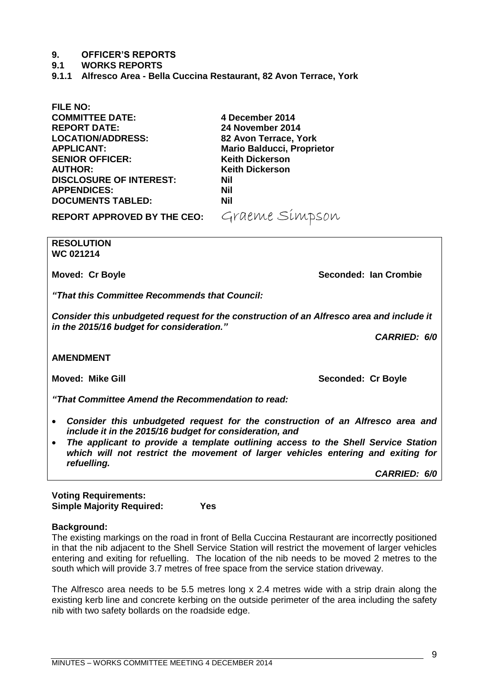#### <span id="page-8-0"></span>**9. OFFICER'S REPORTS**

- <span id="page-8-1"></span>**9.1 WORKS REPORTS**
- <span id="page-8-2"></span>**9.1.1 Alfresco Area - Bella Cuccina Restaurant, 82 Avon Terrace, York**

**FILE NO: COMMITTEE DATE: 4 December 2014 REPORT DATE: 24 November 2014 LOCATION/ADDRESS: 82 Avon Terrace, York SENIOR OFFICER: AUTHOR: Keith Dickerson DISCLOSURE OF INTEREST: Nil APPENDICES: Nil DOCUMENTS TABLED: Nil**

**Mario Balducci, Proprietor<br>Keith Dickerson** 

**REPORT APPROVED BY THE CEO:** Graeme Simpson

**RESOLUTION WC 021214**

**Moved: Cr Boyle Seconded: Ian Crombie Seconded: Ian Crombie** 

*"That this Committee Recommends that Council:*

*Consider this unbudgeted request for the construction of an Alfresco area and include it in the 2015/16 budget for consideration."*

*CARRIED: 6/0*

**AMENDMENT**

*"That Committee Amend the Recommendation to read:*

- *Consider this unbudgeted request for the construction of an Alfresco area and include it in the 2015/16 budget for consideration, and*
- *The applicant to provide a template outlining access to the Shell Service Station which will not restrict the movement of larger vehicles entering and exiting for refuelling.*

*CARRIED: 6/0*

| <b>Voting Requirements:</b>      |     |
|----------------------------------|-----|
| <b>Simple Majority Required:</b> | Yes |

#### **Background:**

The existing markings on the road in front of Bella Cuccina Restaurant are incorrectly positioned in that the nib adjacent to the Shell Service Station will restrict the movement of larger vehicles entering and exiting for refuelling. The location of the nib needs to be moved 2 metres to the south which will provide 3.7 metres of free space from the service station driveway.

The Alfresco area needs to be 5.5 metres long x 2.4 metres wide with a strip drain along the existing kerb line and concrete kerbing on the outside perimeter of the area including the safety nib with two safety bollards on the roadside edge.

**Moved: Mike Gill Seconded: Cr Boyle**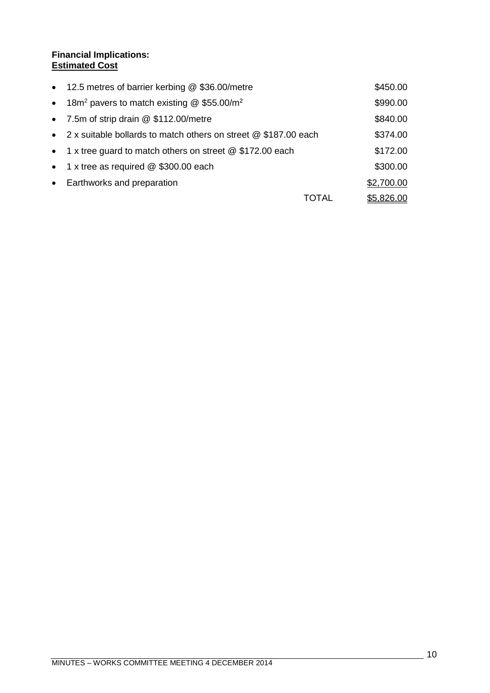#### **Financial Implications: Estimated Cost**

|           | • 12.5 metres of barrier kerbing @ \$36.00/metre                    |       | \$450.00   |
|-----------|---------------------------------------------------------------------|-------|------------|
| $\bullet$ | 18m <sup>2</sup> pavers to match existing @ \$55.00/m <sup>2</sup>  |       | \$990.00   |
|           | • 7.5m of strip drain @ \$112.00/metre                              |       | \$840.00   |
|           | • 2 x suitable bollards to match others on street $@$ \$187.00 each |       | \$374.00   |
|           | • 1 x tree guard to match others on street @ \$172.00 each          |       | \$172.00   |
|           | • 1 x tree as required $@$ \$300.00 each                            |       | \$300.00   |
| $\bullet$ | Earthworks and preparation                                          |       | \$2,700.00 |
|           |                                                                     | TOTAL | \$5,826.00 |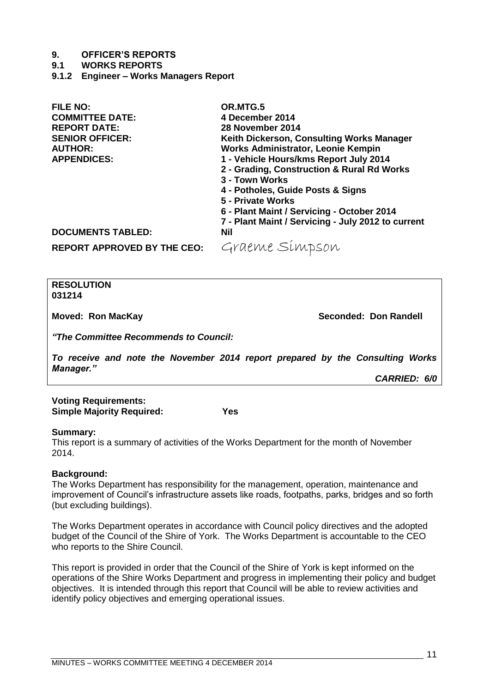#### **9. OFFICER'S REPORTS**

#### **9.1 WORKS REPORTS**

<span id="page-10-0"></span>**9.1.2 Engineer – Works Managers Report** 

| <b>FILE NO:</b>                    | OR.MTG.5                                           |
|------------------------------------|----------------------------------------------------|
| <b>COMMITTEE DATE:</b>             | 4 December 2014                                    |
| <b>REPORT DATE:</b>                | 28 November 2014                                   |
| <b>SENIOR OFFICER:</b>             | Keith Dickerson, Consulting Works Manager          |
| <b>AUTHOR:</b>                     | Works Administrator, Leonie Kempin                 |
| <b>APPENDICES:</b>                 | 1 - Vehicle Hours/kms Report July 2014             |
|                                    | 2 - Grading, Construction & Rural Rd Works         |
|                                    | 3 - Town Works                                     |
|                                    | 4 - Potholes, Guide Posts & Signs                  |
|                                    | 5 - Private Works                                  |
|                                    | 6 - Plant Maint / Servicing - October 2014         |
|                                    | 7 - Plant Maint / Servicing - July 2012 to current |
| <b>DOCUMENTS TABLED:</b>           | Nil                                                |
| <b>REPORT APPROVED BY THE CEO:</b> | Graeme Simpson                                     |

**RESOLUTION 031214**

**Moved: Ron MacKay <b>Seconded: Don Randell Seconded: Don Randell** 

*"The Committee Recommends to Council:*

*To receive and note the November 2014 report prepared by the Consulting Works Manager."*

*CARRIED: 6/0*

**Voting Requirements: Simple Majority Required: Yes**

#### **Summary:**

This report is a summary of activities of the Works Department for the month of November 2014.

#### **Background:**

The Works Department has responsibility for the management, operation, maintenance and improvement of Council's infrastructure assets like roads, footpaths, parks, bridges and so forth (but excluding buildings).

The Works Department operates in accordance with Council policy directives and the adopted budget of the Council of the Shire of York. The Works Department is accountable to the CEO who reports to the Shire Council.

This report is provided in order that the Council of the Shire of York is kept informed on the operations of the Shire Works Department and progress in implementing their policy and budget objectives. It is intended through this report that Council will be able to review activities and identify policy objectives and emerging operational issues.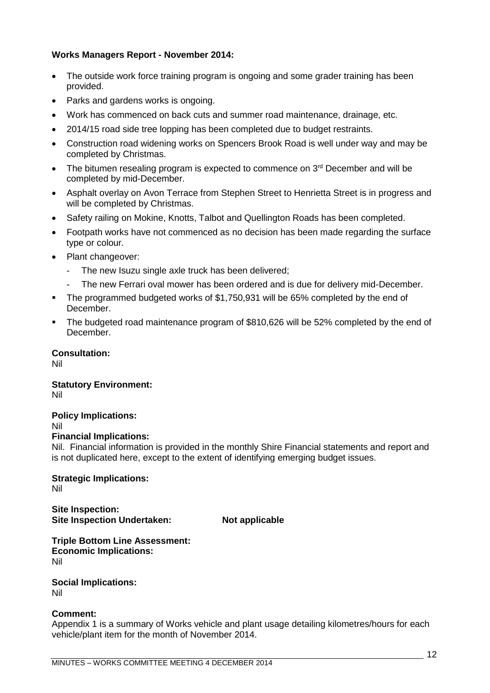#### **Works Managers Report - November 2014:**

- The outside work force training program is ongoing and some grader training has been provided.
- Parks and gardens works is ongoing.
- Work has commenced on back cuts and summer road maintenance, drainage, etc.
- 2014/15 road side tree lopping has been completed due to budget restraints.
- Construction road widening works on Spencers Brook Road is well under way and may be completed by Christmas.
- $\bullet$  The bitumen resealing program is expected to commence on  $3<sup>rd</sup>$  December and will be completed by mid-December.
- Asphalt overlay on Avon Terrace from Stephen Street to Henrietta Street is in progress and will be completed by Christmas.
- Safety railing on Mokine, Knotts, Talbot and Quellington Roads has been completed.
- Footpath works have not commenced as no decision has been made regarding the surface type or colour.
- Plant changeover:
	- The new Isuzu single axle truck has been delivered;
	- The new Ferrari oval mower has been ordered and is due for delivery mid-December.
- The programmed budgeted works of \$1,750,931 will be 65% completed by the end of December.
- The budgeted road maintenance program of \$810,626 will be 52% completed by the end of December.

#### **Consultation:**

Nil

### **Statutory Environment:**

Nil

#### **Policy Implications:**

Nil

#### **Financial Implications:**

Nil. Financial information is provided in the monthly Shire Financial statements and report and is not duplicated here, except to the extent of identifying emerging budget issues.

**Strategic Implications:** Nil

**Site Inspection: Site Inspection Undertaken: Not applicable**

**Triple Bottom Line Assessment: Economic Implications:** Nil

**Social Implications:** Nil

#### **Comment:**

Appendix 1 is a summary of Works vehicle and plant usage detailing kilometres/hours for each vehicle/plant item for the month of November 2014.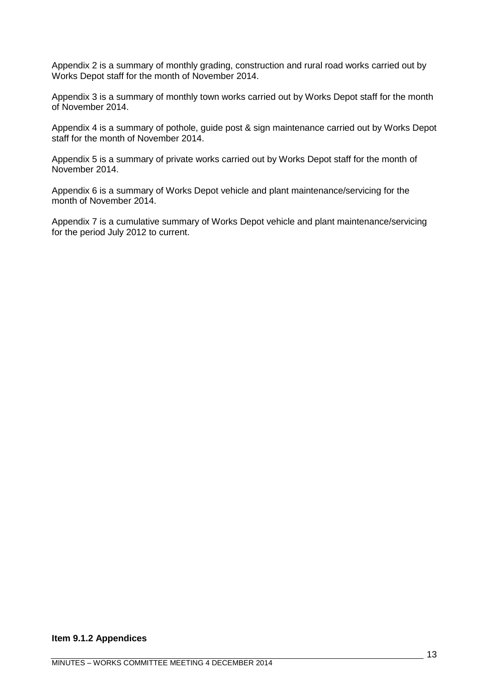Appendix 2 is a summary of monthly grading, construction and rural road works carried out by Works Depot staff for the month of November 2014.

Appendix 3 is a summary of monthly town works carried out by Works Depot staff for the month of November 2014.

Appendix 4 is a summary of pothole, guide post & sign maintenance carried out by Works Depot staff for the month of November 2014.

Appendix 5 is a summary of private works carried out by Works Depot staff for the month of November 2014.

Appendix 6 is a summary of Works Depot vehicle and plant maintenance/servicing for the month of November 2014.

Appendix 7 is a cumulative summary of Works Depot vehicle and plant maintenance/servicing for the period July 2012 to current.

#### **Item 9.1.2 Appendices**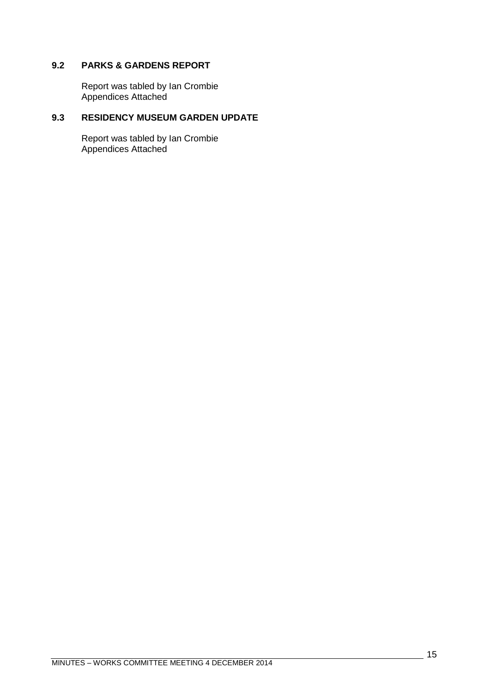#### <span id="page-14-0"></span>**9.2 PARKS & GARDENS REPORT**

Report was tabled by Ian Crombie Appendices Attached

#### <span id="page-14-1"></span>**9.3 RESIDENCY MUSEUM GARDEN UPDATE**

Report was tabled by Ian Crombie Appendices Attached